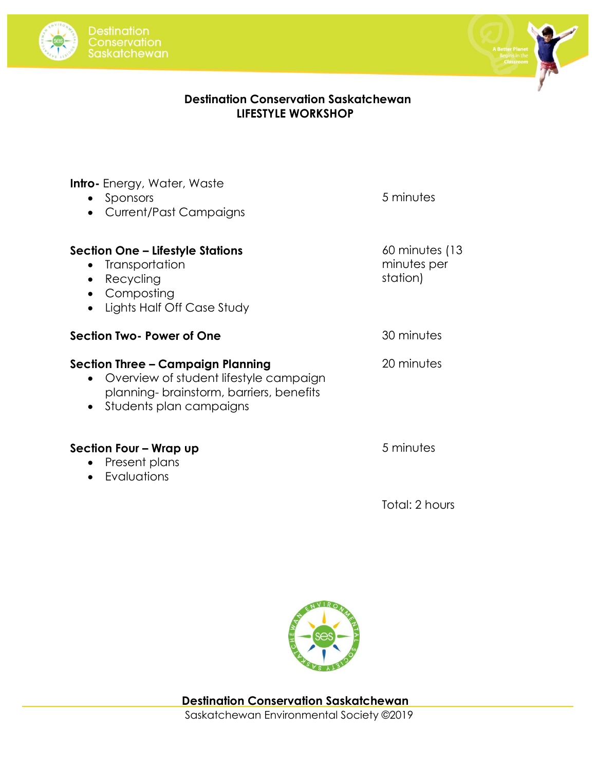



## **Destination Conservation Saskatchewan LIFESTYLE WORKSHOP**

| <b>Intro-</b> Energy, Water, Waste<br>Sponsors<br>$\bullet$<br><b>Current/Past Campaigns</b>                                                                   | 5 minutes                                    |
|----------------------------------------------------------------------------------------------------------------------------------------------------------------|----------------------------------------------|
| Section One – Lifestyle Stations<br>Transportation<br>$\bullet$<br>Recycling<br>$\bullet$<br>Composting<br>Lights Half Off Case Study                          | $60$ minutes (13)<br>minutes per<br>station) |
| Section Two-Power of One                                                                                                                                       | 30 minutes                                   |
| Section Three – Campaign Planning<br>Overview of student lifestyle campaign<br>$\bullet$<br>planning-brainstorm, barriers, benefits<br>Students plan campaigns | 20 minutes                                   |
| Section Four – Wrap up<br>Present plans                                                                                                                        | 5 minutes                                    |

• Evaluations

Total: 2 hours



Saskatchewan Environmental Society ©2019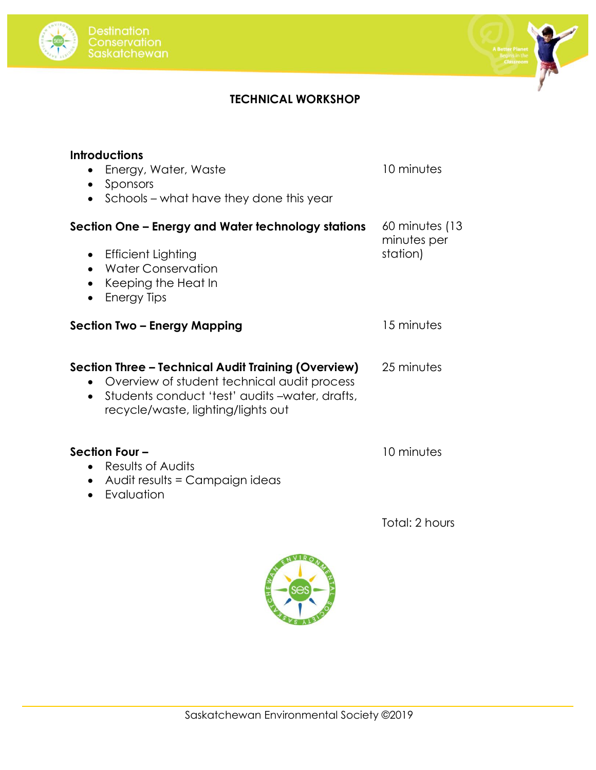



## **TECHNICAL WORKSHOP**

| <b>Introductions</b><br>Energy, Water, Waste<br>Sponsors<br>$\bullet$<br>Schools – what have they done this year<br>$\bullet$                                                                                        | 10 minutes                                |
|----------------------------------------------------------------------------------------------------------------------------------------------------------------------------------------------------------------------|-------------------------------------------|
| Section One – Energy and Water technology stations<br><b>Efficient Lighting</b><br>$\bullet$<br><b>Water Conservation</b><br>$\bullet$<br>Keeping the Heat In<br>$\bullet$                                           | 60 minutes (13<br>minutes per<br>station) |
| <b>Energy Tips</b><br>$\bullet$<br>Section Two – Energy Mapping                                                                                                                                                      | 15 minutes                                |
| Section Three - Technical Audit Training (Overview)<br>Overview of student technical audit process<br>$\bullet$<br>Students conduct 'test' audits -water, drafts,<br>$\bullet$<br>recycle/waste, lighting/lights out | 25 minutes                                |
| Section Four -<br>Results of Audits<br>$\bullet$<br>Audit results = Campaign ideas<br>$\bullet$<br>Evaluation                                                                                                        | 10 minutes                                |
|                                                                                                                                                                                                                      | Total: 2 hours                            |